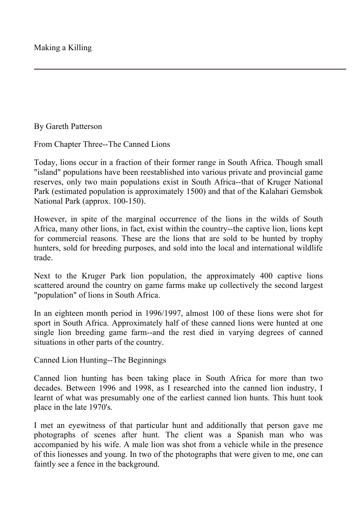By Gareth Patterson

From Chapter Three--The Canned Lions

Today, lions occur in a fraction of their former range in South Africa. Though small "island" populations have been reestablished into various private and provincial game reserves, only two main populations exist in South Africa--that of Kruger National Park (estimated population is approximately 1500) and that of the Kalahari Gemsbok National Park (approx. 100-150).

However, in spite of the marginal occurrence of the lions in the wilds of South Africa, many other lions, in fact, exist within the country--the captive lion, lions kept for commercial reasons. These are the lions that are sold to be hunted by trophy hunters, sold for breeding purposes, and sold into the local and international wildlife trade.

Next to the Kruger Park lion population, the approximately 400 captive lions scattered around the country on game farms make up collectively the second largest "population" of lions in South Africa.

In an eighteen month period in 1996/1997, almost 100 of these lions were shot for sport in South Africa. Approximately half of these canned lions were hunted at one single lion breeding game farm--and the rest died in varying degrees of canned situations in other parts of the country.

Canned Lion Hunting--The Beginnings

Canned lion hunting has been taking place in South Africa for more than two decades. Between 1996 and 1998, as I researched into the canned lion industry, I learnt of what was presumably one of the earliest canned lion hunts. This hunt took place in the late 1970's.

I met an eyewitness of that particular hunt and additionally that person gave me photographs of scenes after hunt. The client was a Spanish man who was accompanied by his wife. A male lion was shot from a vehicle while in the presence of this lionesses and young. In two of the photographs that were given to me, one can faintly see a fence in the background.